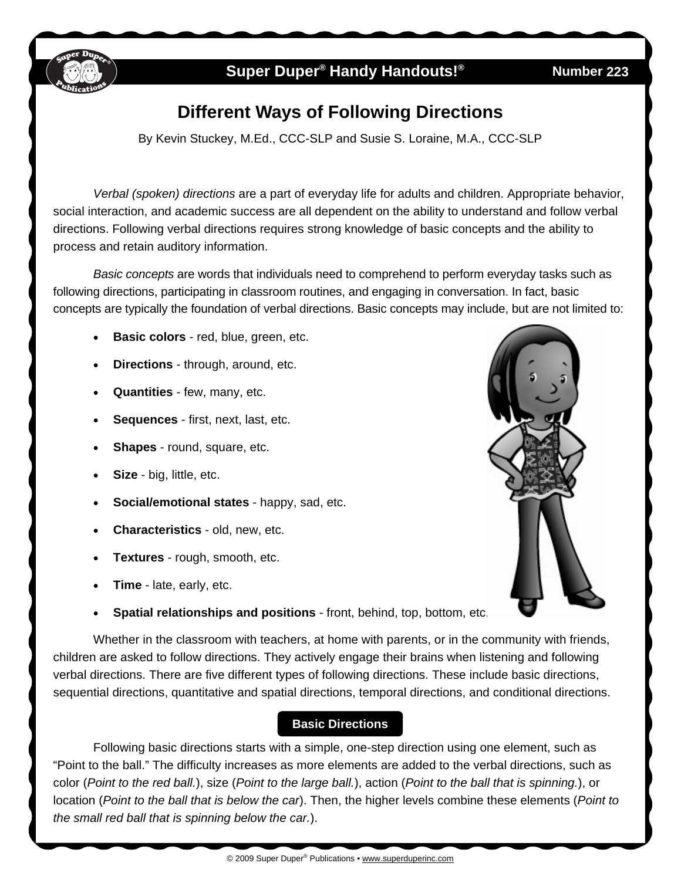

## **Super Duper<sup>®</sup> Handy Handouts!®**

#### **223**

# **Different Ways of Following Directions**

By Kevin Stuckey, M.Ed., CCC-SLP and Susie S. Loraine, M.A., CCC-SLP

*Verbal (spoken) directions* are a part of everyday life for adults and children. Appropriate behavior, social interaction, and academic success are all dependent on the ability to understand and follow verbal directions. Following verbal directions requires strong knowledge of basic concepts and the ability to process and retain auditory information.

*Basic concepts* are words that individuals need to comprehend to perform everyday tasks such as following directions, participating in classroom routines, and engaging in conversation. In fact, basic concepts are typically the foundation of verbal directions. Basic concepts may include, but are not limited to:

- **Basic colors** red, blue, green, etc.
- **Directions** through, around, etc.
- **Quantities** few, many, etc.
- **Sequences** first, next, last, etc.
- **Shapes** round, square, etc.
- **Size** big, little, etc.
- **Social/emotional states** happy, sad, etc.
- **Characteristics** old, new, etc.
- **Textures** rough, smooth, etc.
- **Time** late, early, etc.
- **Spatial relationships and positions** front, behind, top, bottom, etc.

 Whether in the classroom with teachers, at home with parents, or in the community with friends, children are asked to follow directions. They actively engage their brains when listening and following verbal directions. There are five different types of following directions. These include basic directions, sequential directions, quantitative and spatial directions, temporal directions, and conditional directions.

## **Basic Directions**

Following basic directions starts with a simple, one-step direction using one element, such as "Point to the ball." The difficulty increases as more elements are added to the verbal directions, such as color (*Point to the red ball.*), size (*Point to the large ball.*), action (*Point to the ball that is spinning.*), or location (*Point to the ball that is below the car*). Then, the higher levels combine these elements (*Point to the small red ball that is spinning below the car.*).